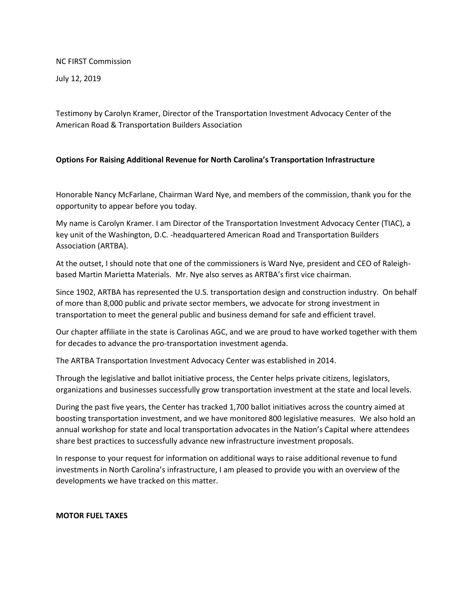NC FIRST Commission

July 12, 2019

Testimony by Carolyn Kramer, Director of the Transportation Investment Advocacy Center of the American Road & Transportation Builders Association

# **Options For Raising Additional Revenue for North Carolina's Transportation Infrastructure**

Honorable Nancy McFarlane, Chairman Ward Nye, and members of the commission, thank you for the opportunity to appear before you today.

My name is Carolyn Kramer. I am Director of the Transportation Investment Advocacy Center (TIAC), a key unit of the Washington, D.C. -headquartered American Road and Transportation Builders Association (ARTBA).

At the outset, I should note that one of the commissioners is Ward Nye, president and CEO of Raleighbased Martin Marietta Materials. Mr. Nye also serves as ARTBA's first vice chairman.

Since 1902, ARTBA has represented the U.S. transportation design and construction industry. On behalf of more than 8,000 public and private sector members, we advocate for strong investment in transportation to meet the general public and business demand for safe and efficient travel.

Our chapter affiliate in the state is Carolinas AGC, and we are proud to have worked together with them for decades to advance the pro-transportation investment agenda.

The ARTBA Transportation Investment Advocacy Center was established in 2014.

Through the legislative and ballot initiative process, the Center helps private citizens, legislators, organizations and businesses successfully grow transportation investment at the state and local levels.

During the past five years, the Center has tracked 1,700 ballot initiatives across the country aimed at boosting transportation investment, and we have monitored 800 legislative measures. We also hold an annual workshop for state and local transportation advocates in the Nation's Capital where attendees share best practices to successfully advance new infrastructure investment proposals.

In response to your request for information on additional ways to raise additional revenue to fund investments in North Carolina's infrastructure, I am pleased to provide you with an overview of the developments we have tracked on this matter.

### **MOTOR FUEL TAXES**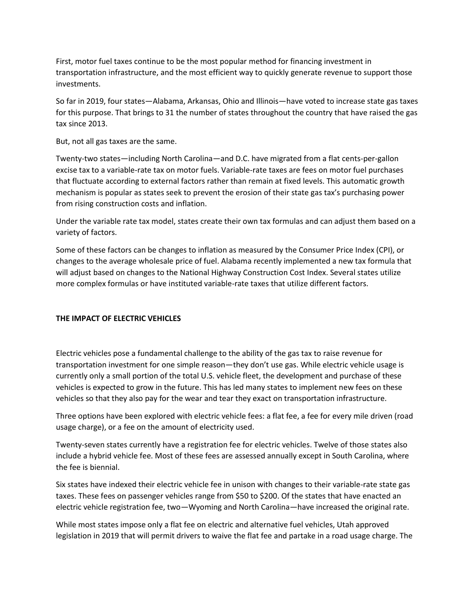First, motor fuel taxes continue to be the most popular method for financing investment in transportation infrastructure, and the most efficient way to quickly generate revenue to support those investments.

So far in 2019, four states—Alabama, Arkansas, Ohio and Illinois—have voted to increase state gas taxes for this purpose. That brings to 31 the number of states throughout the country that have raised the gas tax since 2013.

But, not all gas taxes are the same.

Twenty-two states—including North Carolina—and D.C. have migrated from a flat cents-per-gallon excise tax to a variable-rate tax on motor fuels. Variable-rate taxes are fees on motor fuel purchases that fluctuate according to external factors rather than remain at fixed levels. This automatic growth mechanism is popular as states seek to prevent the erosion of their state gas tax's purchasing power from rising construction costs and inflation.

Under the variable rate tax model, states create their own tax formulas and can adjust them based on a variety of factors.

Some of these factors can be changes to inflation as measured by the Consumer Price Index (CPI), or changes to the average wholesale price of fuel. Alabama recently implemented a new tax formula that will adjust based on changes to the National Highway Construction Cost Index. Several states utilize more complex formulas or have instituted variable-rate taxes that utilize different factors.

# **THE IMPACT OF ELECTRIC VEHICLES**

Electric vehicles pose a fundamental challenge to the ability of the gas tax to raise revenue for transportation investment for one simple reason—they don't use gas. While electric vehicle usage is currently only a small portion of the total U.S. vehicle fleet, the development and purchase of these vehicles is expected to grow in the future. This has led many states to implement new fees on these vehicles so that they also pay for the wear and tear they exact on transportation infrastructure.

Three options have been explored with electric vehicle fees: a flat fee, a fee for every mile driven (road usage charge), or a fee on the amount of electricity used.

Twenty-seven states currently have a registration fee for electric vehicles. Twelve of those states also include a hybrid vehicle fee. Most of these fees are assessed annually except in South Carolina, where the fee is biennial.

Six states have indexed their electric vehicle fee in unison with changes to their variable-rate state gas taxes. These fees on passenger vehicles range from \$50 to \$200. Of the states that have enacted an electric vehicle registration fee, two—Wyoming and North Carolina—have increased the original rate.

While most states impose only a flat fee on electric and alternative fuel vehicles, Utah approved legislation in 2019 that will permit drivers to waive the flat fee and partake in a road usage charge. The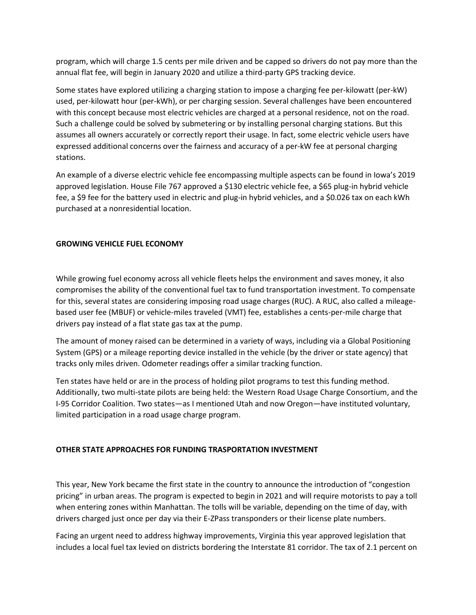program, which will charge 1.5 cents per mile driven and be capped so drivers do not pay more than the annual flat fee, will begin in January 2020 and utilize a third-party GPS tracking device.

Some states have explored utilizing a charging station to impose a charging fee per-kilowatt (per-kW) used, per-kilowatt hour (per-kWh), or per charging session. Several challenges have been encountered with this concept because most electric vehicles are charged at a personal residence, not on the road. Such a challenge could be solved by submetering or by installing personal charging stations. But this assumes all owners accurately or correctly report their usage. In fact, some electric vehicle users have expressed additional concerns over the fairness and accuracy of a per-kW fee at personal charging stations.

An example of a diverse electric vehicle fee encompassing multiple aspects can be found in Iowa's 2019 approved legislation. House File 767 approved a \$130 electric vehicle fee, a \$65 plug-in hybrid vehicle fee, a \$9 fee for the battery used in electric and plug-in hybrid vehicles, and a \$0.026 tax on each kWh purchased at a nonresidential location.

# **GROWING VEHICLE FUEL ECONOMY**

While growing fuel economy across all vehicle fleets helps the environment and saves money, it also compromises the ability of the conventional fuel tax to fund transportation investment. To compensate for this, several states are considering imposing road usage charges (RUC). A RUC, also called a mileagebased user fee (MBUF) or vehicle-miles traveled (VMT) fee, establishes a cents-per-mile charge that drivers pay instead of a flat state gas tax at the pump.

The amount of money raised can be determined in a variety of ways, including via a Global Positioning System (GPS) or a mileage reporting device installed in the vehicle (by the driver or state agency) that tracks only miles driven. Odometer readings offer a similar tracking function.

Ten states have held or are in the process of holding pilot programs to test this funding method. Additionally, two multi-state pilots are being held: the Western Road Usage Charge Consortium, and the I-95 Corridor Coalition. Two states—as I mentioned Utah and now Oregon—have instituted voluntary, limited participation in a road usage charge program.

# **OTHER STATE APPROACHES FOR FUNDING TRASPORTATION INVESTMENT**

This year, New York became the first state in the country to announce the introduction of "congestion pricing" in urban areas. The program is expected to begin in 2021 and will require motorists to pay a toll when entering zones within Manhattan. The tolls will be variable, depending on the time of day, with drivers charged just once per day via their E-ZPass transponders or their license plate numbers.

Facing an urgent need to address highway improvements, Virginia this year approved legislation that includes a local fuel tax levied on districts bordering the Interstate 81 corridor. The tax of 2.1 percent on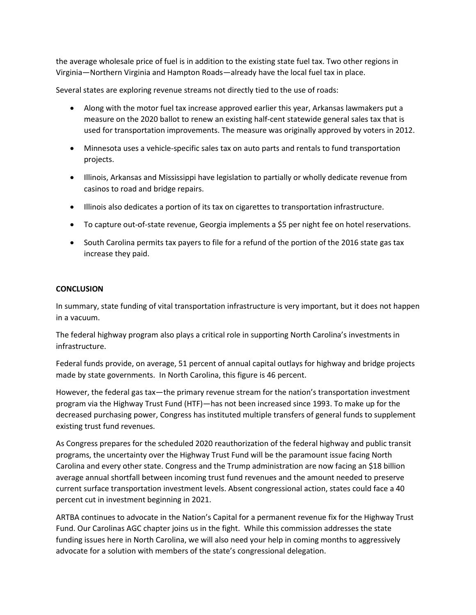the average wholesale price of fuel is in addition to the existing state fuel tax. Two other regions in Virginia—Northern Virginia and Hampton Roads—already have the local fuel tax in place.

Several states are exploring revenue streams not directly tied to the use of roads:

- Along with the motor fuel tax increase approved earlier this year, Arkansas lawmakers put a measure on the 2020 ballot to renew an existing half-cent statewide general sales tax that is used for transportation improvements. The measure was originally approved by voters in 2012.
- Minnesota uses a vehicle-specific sales tax on auto parts and rentals to fund transportation projects.
- Illinois, Arkansas and Mississippi have legislation to partially or wholly dedicate revenue from casinos to road and bridge repairs.
- Illinois also dedicates a portion of its tax on cigarettes to transportation infrastructure.
- To capture out-of-state revenue, Georgia implements a \$5 per night fee on hotel reservations.
- South Carolina permits tax payers to file for a refund of the portion of the 2016 state gas tax increase they paid.

# **CONCLUSION**

In summary, state funding of vital transportation infrastructure is very important, but it does not happen in a vacuum.

The federal highway program also plays a critical role in supporting North Carolina's investments in infrastructure.

Federal funds provide, on average, 51 percent of annual capital outlays for highway and bridge projects made by state governments. In North Carolina, this figure is 46 percent.

However, the federal gas tax—the primary revenue stream for the nation's transportation investment program via the Highway Trust Fund (HTF)—has not been increased since 1993. To make up for the decreased purchasing power, Congress has instituted multiple transfers of general funds to supplement existing trust fund revenues.

As Congress prepares for the scheduled 2020 reauthorization of the federal highway and public transit programs, the uncertainty over the Highway Trust Fund will be the paramount issue facing North Carolina and every other state. Congress and the Trump administration are now facing an \$18 billion average annual shortfall between incoming trust fund revenues and the amount needed to preserve current surface transportation investment levels. Absent congressional action, states could face a 40 percent cut in investment beginning in 2021.

ARTBA continues to advocate in the Nation's Capital for a permanent revenue fix for the Highway Trust Fund. Our Carolinas AGC chapter joins us in the fight. While this commission addresses the state funding issues here in North Carolina, we will also need your help in coming months to aggressively advocate for a solution with members of the state's congressional delegation.